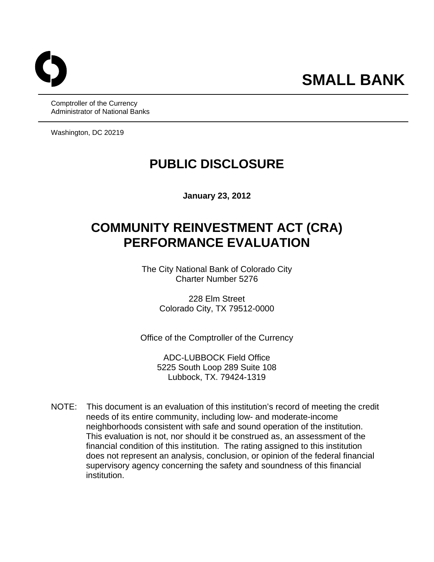Comptroller of the Currency Administrator of National Banks

Washington, DC 20219

# **PUBLIC DISCLOSURE**

**January 23, 2012** 

# **COMMUNITY REINVESTMENT ACT (CRA) PERFORMANCE EVALUATION**

The City National Bank of Colorado City Charter Number 5276

> 228 Elm Street Colorado City, TX 79512-0000

Office of the Comptroller of the Currency

ADC-LUBBOCK Field Office 5225 South Loop 289 Suite 108 Lubbock, TX. 79424-1319

NOTE: This document is an evaluation of this institution's record of meeting the credit needs of its entire community, including low- and moderate-income neighborhoods consistent with safe and sound operation of the institution. This evaluation is not, nor should it be construed as, an assessment of the financial condition of this institution. The rating assigned to this institution does not represent an analysis, conclusion, or opinion of the federal financial supervisory agency concerning the safety and soundness of this financial institution.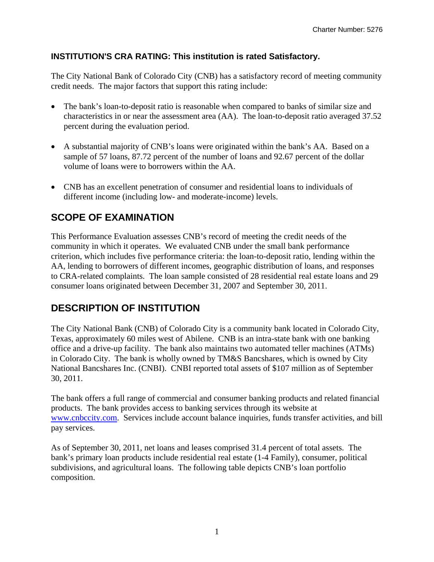## **INSTITUTION'S CRA RATING: This institution is rated Satisfactory.**

The City National Bank of Colorado City (CNB) has a satisfactory record of meeting community credit needs. The major factors that support this rating include:

- The bank's loan-to-deposit ratio is reasonable when compared to banks of similar size and characteristics in or near the assessment area (AA). The loan-to-deposit ratio averaged 37.52 percent during the evaluation period.
- A substantial majority of CNB's loans were originated within the bank's AA. Based on a sample of 57 loans, 87.72 percent of the number of loans and 92.67 percent of the dollar volume of loans were to borrowers within the AA.
- CNB has an excellent penetration of consumer and residential loans to individuals of different income (including low- and moderate-income) levels.

# **SCOPE OF EXAMINATION**

This Performance Evaluation assesses CNB's record of meeting the credit needs of the community in which it operates. We evaluated CNB under the small bank performance criterion, which includes five performance criteria: the loan-to-deposit ratio, lending within the AA, lending to borrowers of different incomes, geographic distribution of loans, and responses to CRA-related complaints. The loan sample consisted of 28 residential real estate loans and 29 consumer loans originated between December 31, 2007 and September 30, 2011.

# **DESCRIPTION OF INSTITUTION**

The City National Bank (CNB) of Colorado City is a community bank located in Colorado City, Texas, approximately 60 miles west of Abilene. CNB is an intra-state bank with one banking office and a drive-up facility. The bank also maintains two automated teller machines (ATMs) in Colorado City. The bank is wholly owned by TM&S Bancshares, which is owned by City National Bancshares Inc. (CNBI). CNBI reported total assets of \$107 million as of September 30, 2011.

The bank offers a full range of commercial and consumer banking products and related financial products. The bank provides access to banking services through its website at www.cnbccity.com. Services include account balance inquiries, funds transfer activities, and bill pay services.

As of September 30, 2011, net loans and leases comprised 31.4 percent of total assets. The bank's primary loan products include residential real estate (1-4 Family), consumer, political subdivisions, and agricultural loans. The following table depicts CNB's loan portfolio composition.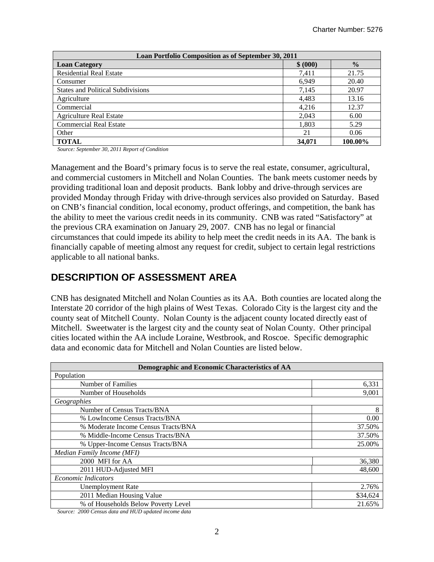| Loan Portfolio Composition as of September 30, 2011 |          |               |  |  |  |  |  |  |
|-----------------------------------------------------|----------|---------------|--|--|--|--|--|--|
| <b>Loan Category</b>                                | \$ (000) | $\frac{0}{0}$ |  |  |  |  |  |  |
| <b>Residential Real Estate</b>                      | 7,411    | 21.75         |  |  |  |  |  |  |
| Consumer                                            | 6,949    | 20.40         |  |  |  |  |  |  |
| <b>States and Political Subdivisions</b>            | 7,145    | 20.97         |  |  |  |  |  |  |
| Agriculture                                         | 4,483    | 13.16         |  |  |  |  |  |  |
| Commercial                                          | 4,216    | 12.37         |  |  |  |  |  |  |
| <b>Agriculture Real Estate</b>                      | 2,043    | 6.00          |  |  |  |  |  |  |
| <b>Commercial Real Estate</b>                       | 1,803    | 5.29          |  |  |  |  |  |  |
| Other                                               | 21       | 0.06          |  |  |  |  |  |  |
| <b>TOTAL</b>                                        | 34,071   | 100.00%       |  |  |  |  |  |  |

*Source: September 30, 2011 Report of Condition* 

Management and the Board's primary focus is to serve the real estate, consumer, agricultural, and commercial customers in Mitchell and Nolan Counties. The bank meets customer needs by providing traditional loan and deposit products. Bank lobby and drive-through services are provided Monday through Friday with drive-through services also provided on Saturday. Based on CNB's financial condition, local economy, product offerings, and competition, the bank has the ability to meet the various credit needs in its community. CNB was rated "Satisfactory" at the previous CRA examination on January 29, 2007. CNB has no legal or financial circumstances that could impede its ability to help meet the credit needs in its AA. The bank is financially capable of meeting almost any request for credit, subject to certain legal restrictions applicable to all national banks.

## **DESCRIPTION OF ASSESSMENT AREA**

CNB has designated Mitchell and Nolan Counties as its AA. Both counties are located along the Interstate 20 corridor of the high plains of West Texas. Colorado City is the largest city and the county seat of Mitchell County. Nolan County is the adjacent county located directly east of Mitchell. Sweetwater is the largest city and the county seat of Nolan County. Other principal cities located within the AA include Loraine, Westbrook, and Roscoe. Specific demographic data and economic data for Mitchell and Nolan Counties are listed below.

| Demographic and Economic Characteristics of AA |          |  |  |  |
|------------------------------------------------|----------|--|--|--|
| Population                                     |          |  |  |  |
| Number of Families                             | 6,331    |  |  |  |
| Number of Households                           | 9,001    |  |  |  |
| Geographies                                    |          |  |  |  |
| Number of Census Tracts/BNA                    | 8        |  |  |  |
| % LowIncome Census Tracts/BNA                  | 0.00     |  |  |  |
| % Moderate Income Census Tracts/BNA            | 37.50%   |  |  |  |
| % Middle-Income Census Tracts/BNA              | 37.50%   |  |  |  |
| % Upper-Income Census Tracts/BNA               | 25.00%   |  |  |  |
| Median Family Income (MFI)                     |          |  |  |  |
| 2000 MFI for AA                                | 36,380   |  |  |  |
| 2011 HUD-Adjusted MFI                          | 48,600   |  |  |  |
| <b>Economic Indicators</b>                     |          |  |  |  |
| <b>Unemployment Rate</b>                       | 2.76%    |  |  |  |
| 2011 Median Housing Value                      | \$34,624 |  |  |  |
| % of Households Below Poverty Level            | 21.65%   |  |  |  |

*Source: 2000 Census data and HUD updated income data*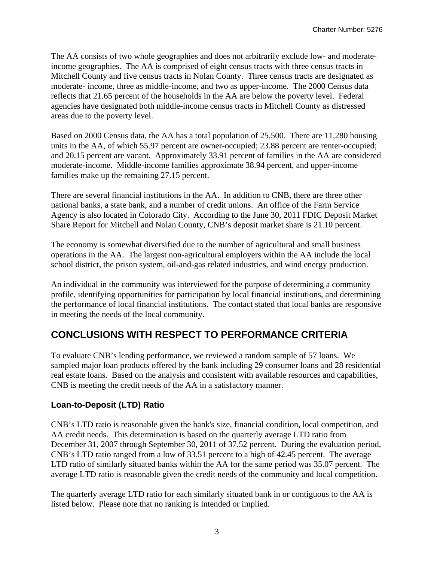The AA consists of two whole geographies and does not arbitrarily exclude low- and moderateincome geographies. The AA is comprised of eight census tracts with three census tracts in Mitchell County and five census tracts in Nolan County. Three census tracts are designated as moderate- income, three as middle-income, and two as upper-income. The 2000 Census data reflects that 21.65 percent of the households in the AA are below the poverty level. Federal agencies have designated both middle-income census tracts in Mitchell County as distressed areas due to the poverty level.

Based on 2000 Census data, the AA has a total population of 25,500. There are 11,280 housing units in the AA, of which 55.97 percent are owner-occupied; 23.88 percent are renter-occupied; and 20.15 percent are vacant. Approximately 33.91 percent of families in the AA are considered moderate-income. Middle-income families approximate 38.94 percent, and upper-income families make up the remaining 27.15 percent.

There are several financial institutions in the AA. In addition to CNB, there are three other national banks, a state bank, and a number of credit unions. An office of the Farm Service Agency is also located in Colorado City. According to the June 30, 2011 FDIC Deposit Market Share Report for Mitchell and Nolan County, CNB's deposit market share is 21.10 percent.

The economy is somewhat diversified due to the number of agricultural and small business operations in the AA. The largest non-agricultural employers within the AA include the local school district, the prison system, oil-and-gas related industries, and wind energy production.

An individual in the community was interviewed for the purpose of determining a community profile, identifying opportunities for participation by local financial institutions, and determining the performance of local financial institutions. The contact stated that local banks are responsive in meeting the needs of the local community.

## **CONCLUSIONS WITH RESPECT TO PERFORMANCE CRITERIA**

To evaluate CNB's lending performance, we reviewed a random sample of 57 loans. We sampled major loan products offered by the bank including 29 consumer loans and 28 residential real estate loans. Based on the analysis and consistent with available resources and capabilities, CNB is meeting the credit needs of the AA in a satisfactory manner.

## **Loan-to-Deposit (LTD) Ratio**

CNB's LTD ratio is reasonable given the bank's size, financial condition, local competition, and AA credit needs. This determination is based on the quarterly average LTD ratio from December 31, 2007 through September 30, 2011 of 37.52 percent. During the evaluation period, CNB's LTD ratio ranged from a low of 33.51 percent to a high of 42.45 percent. The average LTD ratio of similarly situated banks within the AA for the same period was 35.07 percent. The average LTD ratio is reasonable given the credit needs of the community and local competition.

The quarterly average LTD ratio for each similarly situated bank in or contiguous to the AA is listed below. Please note that no ranking is intended or implied.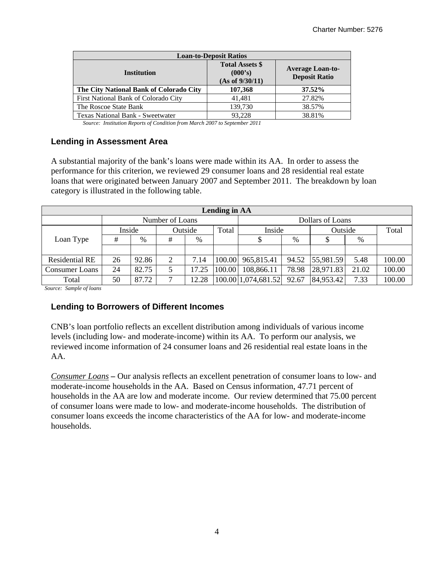| <b>Loan-to-Deposit Ratios</b>           |                                                      |                                                 |  |  |  |  |  |  |
|-----------------------------------------|------------------------------------------------------|-------------------------------------------------|--|--|--|--|--|--|
| <b>Institution</b>                      | <b>Total Assets \$</b><br>(000's)<br>(As of 9/30/11) | <b>Average Loan-to-</b><br><b>Deposit Ratio</b> |  |  |  |  |  |  |
| The City National Bank of Colorado City | 107,368                                              | 37.52%                                          |  |  |  |  |  |  |
| First National Bank of Colorado City    | 41.481                                               | 27.82%                                          |  |  |  |  |  |  |
| The Roscoe State Bank                   | 139,730                                              | 38.57%                                          |  |  |  |  |  |  |
| Texas National Bank - Sweetwater        | 93.228                                               | 38.81%                                          |  |  |  |  |  |  |

*Source: Institution Reports of Condition from March 2007 to September 2011* 

#### **Lending in Assessment Area**

A substantial majority of the bank's loans were made within its AA. In order to assess the performance for this criterion, we reviewed 29 consumer loans and 28 residential real estate loans that were originated between January 2007 and September 2011. The breakdown by loan category is illustrated in the following table.

| Lending in AA         |                            |       |                 |       |        |                     |                   |           |       |        |  |
|-----------------------|----------------------------|-------|-----------------|-------|--------|---------------------|-------------------|-----------|-------|--------|--|
|                       |                            |       | Number of Loans |       |        | Dollars of Loans    |                   |           |       |        |  |
|                       | Inside<br>Outside<br>Total |       |                 |       |        |                     | Inside<br>Outside |           |       | Total  |  |
| Loan Type             | #                          | %     | #               | %     |        | P.                  | %                 |           | %     |        |  |
|                       |                            |       |                 |       |        |                     |                   |           |       |        |  |
| <b>Residential RE</b> | 26                         | 92.86 | 2               | 7.14  | 100.00 | 965,815.41          | 94.52             | 55,981.59 | 5.48  | 100.00 |  |
| <b>Consumer Loans</b> | 24                         | 82.75 |                 | 17.25 | 100.00 | 108,866.11          | 78.98             | 28,971.83 | 21.02 | 100.00 |  |
| Total                 | 50                         | 87.72 | ⇁               | 12.28 |        | 100.00 1,074,681.52 | 92.67             | 84,953.42 | 7.33  | 100.00 |  |

*Source: Sample of loans* 

### **Lending to Borrowers of Different Incomes**

CNB's loan portfolio reflects an excellent distribution among individuals of various income levels (including low- and moderate-income) within its AA. To perform our analysis, we reviewed income information of 24 consumer loans and 26 residential real estate loans in the AA.

 *Consumer Loans –* Our analysis reflects an excellent penetration of consumer loans to low- and moderate-income households in the AA. Based on Census information, 47.71 percent of households in the AA are low and moderate income. Our review determined that 75.00 percent of consumer loans were made to low- and moderate-income households. The distribution of consumer loans exceeds the income characteristics of the AA for low- and moderate-income households.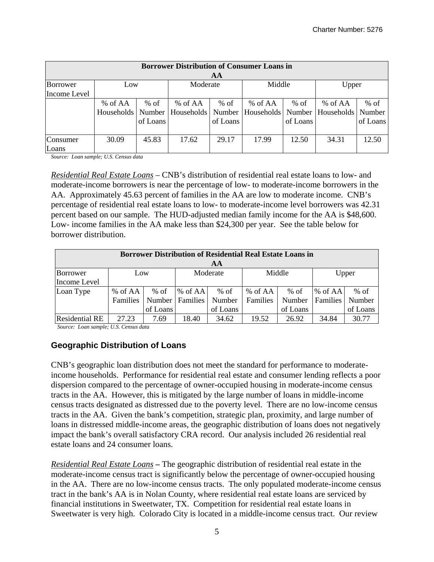| <b>Borrower Distribution of Consumer Loans in</b> |         |          |                                  |          |                                                    |          |           |          |  |  |
|---------------------------------------------------|---------|----------|----------------------------------|----------|----------------------------------------------------|----------|-----------|----------|--|--|
| AA                                                |         |          |                                  |          |                                                    |          |           |          |  |  |
| Borrower<br>Middle<br>Moderate<br>Upper<br>Low    |         |          |                                  |          |                                                    |          |           |          |  |  |
| Income Level                                      |         |          |                                  |          |                                                    |          |           |          |  |  |
|                                                   | % of AA | $%$ of   | % of AA                          | $%$ of   | % of $AA$                                          | $%$ of   | % of $AA$ | $%$ of   |  |  |
|                                                   |         |          | Households   Number   Households |          | Number   Households   Number   Households   Number |          |           |          |  |  |
|                                                   |         | of Loans |                                  | of Loans |                                                    | of Loans |           | of Loans |  |  |
|                                                   |         |          |                                  |          |                                                    |          |           |          |  |  |
| Consumer                                          | 30.09   | 45.83    | 17.62                            | 29.17    | 17.99                                              | 12.50    | 34.31     | 12.50    |  |  |
| Loans                                             |         |          |                                  |          |                                                    |          |           |          |  |  |

*Source: Loan sample; U.S. Census data* 

*Residential Real Estate Loans* – CNB's distribution of residential real estate loans to low- and moderate-income borrowers is near the percentage of low- to moderate-income borrowers in the AA. Approximately 45.63 percent of families in the AA are low to moderate income. CNB's percentage of residential real estate loans to low- to moderate-income level borrowers was 42.31 percent based on our sample. The HUD-adjusted median family income for the AA is \$48,600. Low- income families in the AA make less than \$24,300 per year. See the table below for borrower distribution.

| <b>Borrower Distribution of Residential Real Estate Loans in</b><br>AA |                 |          |                   |                    |          |                    |          |                    |  |  |
|------------------------------------------------------------------------|-----------------|----------|-------------------|--------------------|----------|--------------------|----------|--------------------|--|--|
| Moderate<br>Middle<br>Upper<br>Borrower<br>Low<br>Income Level         |                 |          |                   |                    |          |                    |          |                    |  |  |
| Loan Type                                                              | % of AA         | $%$ of   | $%$ of AA         | $%$ of             | % of AA  | $%$ of             | % of AA  | $%$ of             |  |  |
|                                                                        | <b>Families</b> | of Loans | Number   Families | Number<br>of Loans | Families | Number<br>of Loans | Families | Number<br>of Loans |  |  |
| <b>Residential RE</b>                                                  | 27.23           | 7.69     | 18.40             | 34.62              | 19.52    | 26.92              | 34.84    | 30.77              |  |  |

*Source: Loan sample; U.S. Census data* 

### **Geographic Distribution of Loans**

CNB's geographic loan distribution does not meet the standard for performance to moderateincome households. Performance for residential real estate and consumer lending reflects a poor dispersion compared to the percentage of owner-occupied housing in moderate-income census tracts in the AA. However, this is mitigated by the large number of loans in middle-income census tracts designated as distressed due to the poverty level. There are no low-income census tracts in the AA. Given the bank's competition, strategic plan, proximity, and large number of loans in distressed middle-income areas, the geographic distribution of loans does not negatively impact the bank's overall satisfactory CRA record. Our analysis included 26 residential real estate loans and 24 consumer loans.

*Residential Real Estate Loans* **–** The geographic distribution of residential real estate in the moderate-income census tract is significantly below the percentage of owner-occupied housing in the AA. There are no low-income census tracts. The only populated moderate-income census tract in the bank's AA is in Nolan County, where residential real estate loans are serviced by financial institutions in Sweetwater, TX. Competition for residential real estate loans in Sweetwater is very high. Colorado City is located in a middle-income census tract. Our review